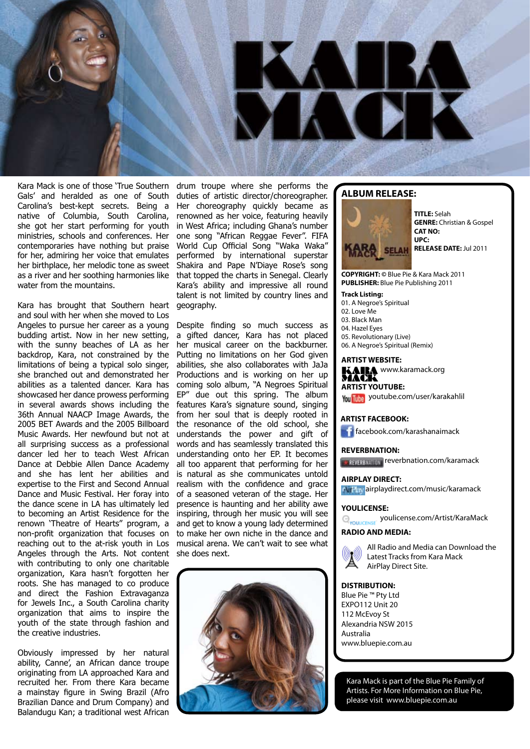

Kara Mack is one of those 'True Southern Gals' and heralded as one of South Carolina's best-kept secrets. Being a native of Columbia, South Carolina, she got her start performing for youth ministries, schools and conferences. Her contemporaries have nothing but praise for her, admiring her voice that emulates her birthplace, her melodic tone as sweet as a river and her soothing harmonies like water from the mountains.

Kara has brought that Southern heart and soul with her when she moved to Los Angeles to pursue her career as a young budding artist. Now in her new setting, with the sunny beaches of LA as her backdrop, Kara, not constrained by the limitations of being a typical solo singer, she branched out and demonstrated her abilities as a talented dancer. Kara has showcased her dance prowess performing in several awards shows including the 36th Annual NAACP Image Awards, the 2005 BET Awards and the 2005 Billboard Music Awards. Her newfound but not at all surprising success as a professional dancer led her to teach West African Dance at Debbie Allen Dance Academy and she has lent her abilities and expertise to the First and Second Annual Dance and Music Festival. Her foray into the dance scene in LA has ultimately led to becoming an Artist Residence for the renown 'Theatre of Hearts" program, a non-profit organization that focuses on reaching out to the at-risk youth in Los Angeles through the Arts. Not content with contributing to only one charitable organization, Kara hasn't forgotten her roots. She has managed to co produce and direct the Fashion Extravaganza for Jewels Inc., a South Carolina charity organization that aims to inspire the youth of the state through fashion and the creative industries.

Obviously impressed by her natural ability, Canne', an African dance troupe originating from LA approached Kara and recruited her. From there Kara became a mainstay figure in Swing Brazil (Afro Brazilian Dance and Drum Company) and Balandugu Kan; a traditional west African

drum troupe where she performs the duties of artistic director/choreographer. Her choreography quickly became as renowned as her voice, featuring heavily in West Africa; including Ghana's number one song "African Reggae Fever". FIFA World Cup Official Song "Waka Waka" performed by international superstar Shakira and Pape N'Diaye Rose's song that topped the charts in Senegal. Clearly Kara's ability and impressive all round talent is not limited by country lines and geography.

Despite finding so much success as a gifted dancer, Kara has not placed her musical career on the backburner. Putting no limitations on her God given abilities, she also collaborates with JaJa Productions and is working on her up coming solo album, "A Negroes Spiritual EP" due out this spring. The album features Kara's signature sound, singing from her soul that is deeply rooted in the resonance of the old school, she understands the power and gift of words and has seamlessly translated this understanding onto her EP. It becomes all too apparent that performing for her is natural as she communicates untold realism with the confidence and grace of a seasoned veteran of the stage. Her presence is haunting and her ability awe inspiring, through her music you will see and get to know a young lady determined to make her own niche in the dance and musical arena. We can't wait to see what she does next.



### **ALBUM RELEASE:**



**TITLE:** Selah **GENRE:** Christian & Gospel **CAT NO: UPC: RELEASE DATE:** Jul 2011

**COPYRIGHT: ©** Blue Pie & Kara Mack 2011 **PUBLISHER:** Blue Pie Publishing 2011

#### **Track Listing:**

- 01. A Negroe's Spiritual 02. Love Me 03. Black Man 04. Hazel Eyes 05. Revolutionary (Live)
- 06. A Negroe's Spiritual (Remix)

#### **ARTIST WEBSITE:**

KAIRA www.karamack.org

**ARTIST YOUTUBE:** You Tube youtube.com/user/karakahlil MACK

## **ARTIST FACEBOOK:**

**f**acebook.com/karashanaimack

#### **REVERBNATION:**

reverbnation.com/karamack

## **AIRPLAY DIRECT:**

*AIPay* airplaydirect.com/music/karamack

### **YOULICENSE:**

**Q<sub>YOULICENSE</sub>** youlicense.com/Artist/KaraMack

## **RADIO AND MEDIA:**



All Radio and Media can Download the Latest Tracks from Kara Mack AirPlay Direct Site.

#### **DISTRIBUTION:**

Blue Pie ™ Pty Ltd EXPO112 Unit 20 112 McEvoy St Alexandria NSW 2015 Australia www.bluepie.com.au

Kara Mack is part of the Blue Pie Family of Artists. For More Information on Blue Pie, please visit www.bluepie.com.au